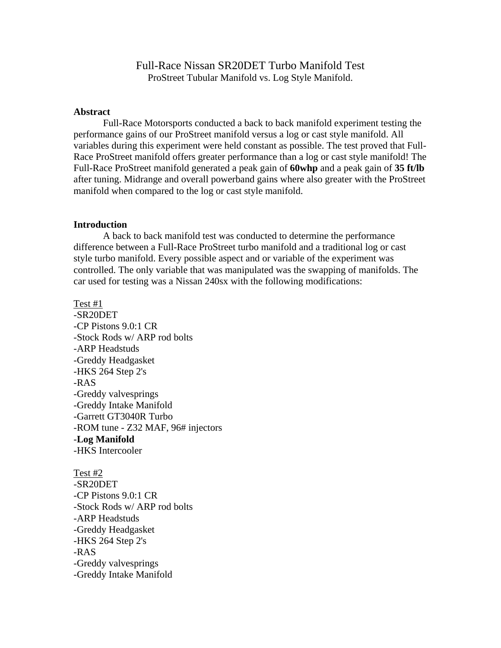## Full-Race Nissan SR20DET Turbo Manifold Test ProStreet Tubular Manifold vs. Log Style Manifold.

## **Abstract**

 Full-Race Motorsports conducted a back to back manifold experiment testing the performance gains of our ProStreet manifold versus a log or cast style manifold. All variables during this experiment were held constant as possible. The test proved that Full-Race ProStreet manifold offers greater performance than a log or cast style manifold! The Full-Race ProStreet manifold generated a peak gain of **60whp** and a peak gain of **35 ft/lb** after tuning. Midrange and overall powerband gains where also greater with the ProStreet manifold when compared to the log or cast style manifold.

## **Introduction**

 A back to back manifold test was conducted to determine the performance difference between a Full-Race ProStreet turbo manifold and a traditional log or cast style turbo manifold. Every possible aspect and or variable of the experiment was controlled. The only variable that was manipulated was the swapping of manifolds. The car used for testing was a Nissan 240sx with the following modifications:

Test #1

-SR20DET -CP Pistons 9.0:1 CR -Stock Rods w/ ARP rod bolts -ARP Headstuds -Greddy Headgasket -HKS 264 Step 2's -RAS -Greddy valvesprings -Greddy Intake Manifold -Garrett GT3040R Turbo -ROM tune - Z32 MAF, 96# injectors -**Log Manifold** -HKS Intercooler

Test #2 -SR20DET -CP Pistons 9.0:1 CR -Stock Rods w/ ARP rod bolts -ARP Headstuds -Greddy Headgasket -HKS 264 Step 2's -RAS -Greddy valvesprings -Greddy Intake Manifold